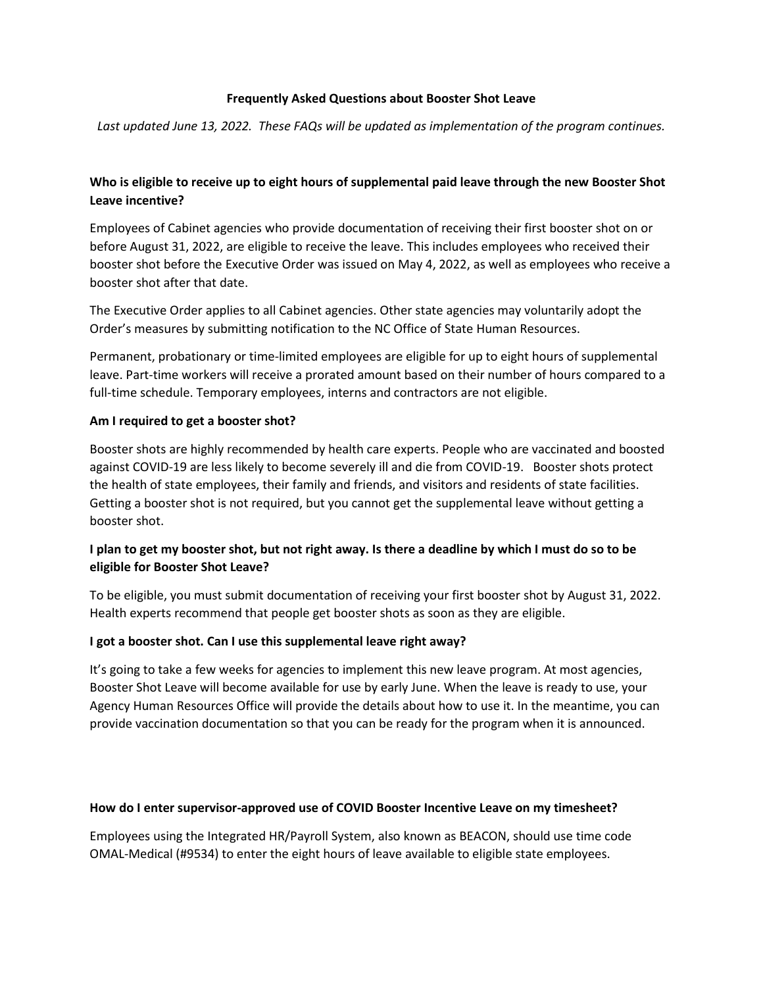#### **Frequently Asked Questions about Booster Shot Leave**

*Last updated June 13, 2022. These FAQs will be updated as implementation of the program continues.*

# **Who is eligible to receive up to eight hours of supplemental paid leave through the new Booster Shot Leave incentive?**

Employees of Cabinet agencies who provide documentation of receiving their first booster shot on or before August 31, 2022, are eligible to receive the leave. This includes employees who received their booster shot before the Executive Order was issued on May 4, 2022, as well as employees who receive a booster shot after that date.

The Executive Order applies to all Cabinet agencies. Other state agencies may voluntarily adopt the Order's measures by submitting notification to the NC Office of State Human Resources.

Permanent, probationary or time-limited employees are eligible for up to eight hours of supplemental leave. Part-time workers will receive a prorated amount based on their number of hours compared to a full-time schedule. Temporary employees, interns and contractors are not eligible.

#### **Am I required to get a booster shot?**

Booster shots are highly recommended by health care experts. People who are vaccinated and boosted against COVID-19 are less likely to become severely ill and die from COVID-19. Booster shots protect the health of state employees, their family and friends, and visitors and residents of state facilities. Getting a booster shot is not required, but you cannot get the supplemental leave without getting a booster shot.

# **I plan to get my booster shot, but not right away. Is there a deadline by which I must do so to be eligible for Booster Shot Leave?**

To be eligible, you must submit documentation of receiving your first booster shot by August 31, 2022. Health experts recommend that people get booster shots as soon as they are eligible.

#### **I got a booster shot. Can I use this supplemental leave right away?**

It's going to take a few weeks for agencies to implement this new leave program. At most agencies, Booster Shot Leave will become available for use by early June. When the leave is ready to use, your Agency Human Resources Office will provide the details about how to use it. In the meantime, you can provide vaccination documentation so that you can be ready for the program when it is announced.

#### **How do I enter supervisor-approved use of COVID Booster Incentive Leave on my timesheet?**

Employees using the Integrated HR/Payroll System, also known as BEACON, should use time code OMAL-Medical (#9534) to enter the eight hours of leave available to eligible state employees.